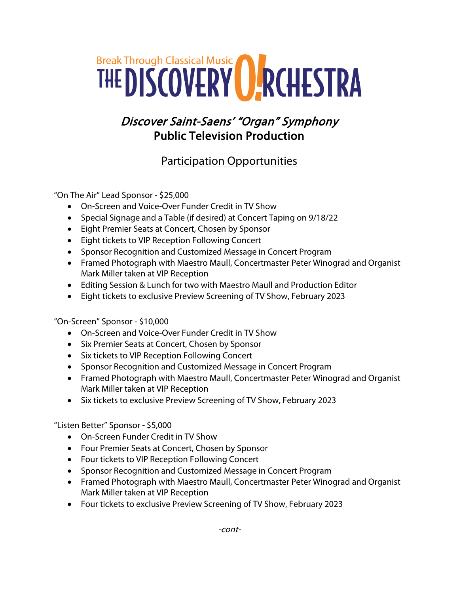## Break Through Classical Music Carrier Control of RESTRA

## Discover Saint-Saens' "Organ" Symphony Public Television Production

## Participation Opportunities

"On The Air" Lead Sponsor - \$25,000

- On-Screen and Voice-Over Funder Credit in TV Show
- Special Signage and a Table (if desired) at Concert Taping on 9/18/22
- Eight Premier Seats at Concert, Chosen by Sponsor
- Eight tickets to VIP Reception Following Concert
- Sponsor Recognition and Customized Message in Concert Program
- Framed Photograph with Maestro Maull, Concertmaster Peter Winograd and Organist Mark Miller taken at VIP Reception
- Editing Session & Lunch for two with Maestro Maull and Production Editor
- Eight tickets to exclusive Preview Screening of TV Show, February 2023

"On-Screen" Sponsor - \$10,000

- On-Screen and Voice-Over Funder Credit in TV Show
- Six Premier Seats at Concert, Chosen by Sponsor
- Six tickets to VIP Reception Following Concert
- Sponsor Recognition and Customized Message in Concert Program
- Framed Photograph with Maestro Maull, Concertmaster Peter Winograd and Organist Mark Miller taken at VIP Reception
- Six tickets to exclusive Preview Screening of TV Show, February 2023

"Listen Better" Sponsor - \$5,000

- On-Screen Funder Credit in TV Show
- Four Premier Seats at Concert, Chosen by Sponsor
- Four tickets to VIP Reception Following Concert
- Sponsor Recognition and Customized Message in Concert Program
- Framed Photograph with Maestro Maull, Concertmaster Peter Winograd and Organist Mark Miller taken at VIP Reception
- Four tickets to exclusive Preview Screening of TV Show, February 2023